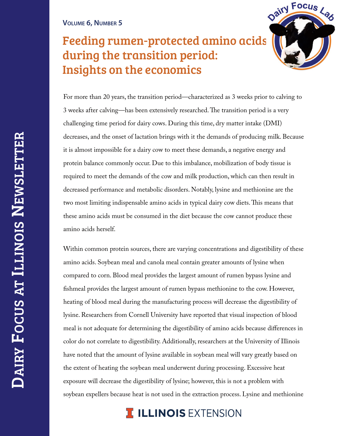## **VOLUME 6, NUMBER 5**

## Feeding rumen-protected amino acids during the transition period: Insights on the economics



For more than 20 years, the transition period—characterized as 3 weeks prior to calving to 3 weeks after calving—has been extensively researched.The transition period is a very challenging time period for dairy cows. During this time, dry matter intake (DMI) decreases, and the onset of lactation brings with it the demands of producing milk. Because it is almost impossible for a dairy cow to meet these demands, a negative energy and protein balance commonly occur. Due to this imbalance, mobilization of body tissue is required to meet the demands of the cow and milk production, which can then result in decreased performance and metabolic disorders. Notably, lysine and methionine are the two most limiting indispensable amino acids in typical dairy cow diets.This means that these amino acids must be consumed in the diet because the cow cannot produce these amino acids herself.

Within common protein sources, there are varying concentrations and digestibility of these amino acids. Soybean meal and canola meal contain greater amounts of lysine when compared to corn. Blood meal provides the largest amount of rumen bypass lysine and fishmeal provides the largest amount of rumen bypass methionine to the cow. However, heating of blood meal during the manufacturing process will decrease the digestibility of lysine. Researchers from Cornell University have reported that visual inspection of blood meal is not adequate for determining the digestibility of amino acids because differences in color do not correlate to digestibility. Additionally, researchers at the University of Illinois have noted that the amount of lysine available in soybean meal will vary greatly based on the extent of heating the soybean meal underwent during processing. Excessive heat exposure will decrease the digestibility of lysine; however, this is not a problem with soybean expellers because heat is not used in the extraction process. Lysine and methionine

## **I ILLINOIS EXTENSION**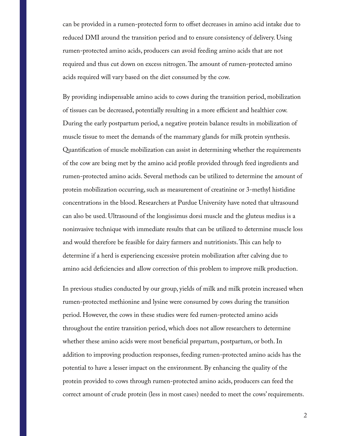can be provided in a rumen-protected form to offset decreases in amino acid intake due to reduced DMI around the transition period and to ensure consistency of delivery. Using rumen-protected amino acids, producers can avoid feeding amino acids that are not required and thus cut down on excess nitrogen.The amount of rumen-protected amino acids required will vary based on the diet consumed by the cow.

By providing indispensable amino acids to cows during the transition period, mobilization of tissues can be decreased, potentially resulting in a more efficient and healthier cow. During the early postpartum period, a negative protein balance results in mobilization of muscle tissue to meet the demands of the mammary glands for milk protein synthesis. Quantification of muscle mobilization can assist in determining whether the requirements of the cow are being met by the amino acid profile provided through feed ingredients and rumen-protected amino acids. Several methods can be utilized to determine the amount of protein mobilization occurring, such as measurement of creatinine or 3-methyl histidine concentrations in the blood. Researchers at Purdue University have noted that ultrasound can also be used. Ultrasound of the longissimus dorsi muscle and the gluteus medius is a noninvasive technique with immediate results that can be utilized to determine muscle loss and would therefore be feasible for dairy farmers and nutritionists.This can help to determine if a herd is experiencing excessive protein mobilization after calving due to amino acid deficiencies and allow correction of this problem to improve milk production.

In previous studies conducted by our group, yields of milk and milk protein increased when rumen-protected methionine and lysine were consumed by cows during the transition period. However, the cows in these studies were fed rumen-protected amino acids throughout the entire transition period, which does not allow researchers to determine whether these amino acids were most beneficial prepartum, postpartum, or both. In addition to improving production responses, feeding rumen-protected amino acids has the potential to have a lesser impact on the environment. By enhancing the quality of the protein provided to cows through rumen-protected amino acids, producers can feed the correct amount of crude protein (less in most cases) needed to meet the cows' requirements.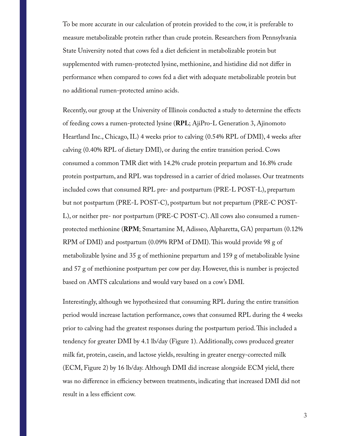To be more accurate in our calculation of protein provided to the cow, it is preferable to measure metabolizable protein rather than crude protein. Researchers from Pennsylvania State University noted that cows fed a diet deficient in metabolizable protein but supplemented with rumen-protected lysine, methionine, and histidine did not differ in performance when compared to cows fed a diet with adequate metabolizable protein but no additional rumen-protected amino acids.

Recently, our group at the University of Illinois conducted a study to determine the effects of feeding cows a rumen-protected lysine (**RPL**; AjiPro-L Generation 3, Ajinomoto Heartland Inc., Chicago, IL) 4 weeks prior to calving (0.54% RPL of DMI), 4 weeks after calving (0.40% RPL of dietary DMI), or during the entire transition period. Cows consumed a common TMR diet with 14.2% crude protein prepartum and 16.8% crude protein postpartum, and RPL was topdressed in a carrier of dried molasses. Our treatments included cows that consumed RPL pre- and postpartum (PRE-L POST-L), prepartum but not postpartum (PRE-L POST-C), postpartum but not prepartum (PRE-C POST-L), or neither pre- nor postpartum (PRE-C POST-C). All cows also consumed a rumenprotected methionine (**RPM**; Smartamine M, Adisseo, Alpharetta, GA) prepartum (0.12% RPM of DMI) and postpartum (0.09% RPM of DMI).This would provide 98 g of metabolizable lysine and 35 g of methionine prepartum and 159 g of metabolizable lysine and 57 g of methionine postpartum per cow per day. However, this is number is projected based on AMTS calculations and would vary based on a cow's DMI.

Interestingly, although we hypothesized that consuming RPL during the entire transition period would increase lactation performance, cows that consumed RPL during the 4 weeks prior to calving had the greatest responses during the postpartum period.This included a tendency for greater DMI by 4.1 lb/day (Figure 1). Additionally, cows produced greater milk fat, protein, casein, and lactose yields, resulting in greater energy-corrected milk (ECM, Figure 2) by 16 lb/day. Although DMI did increase alongside ECM yield, there was no difference in efficiency between treatments, indicating that increased DMI did not result in a less efficient cow.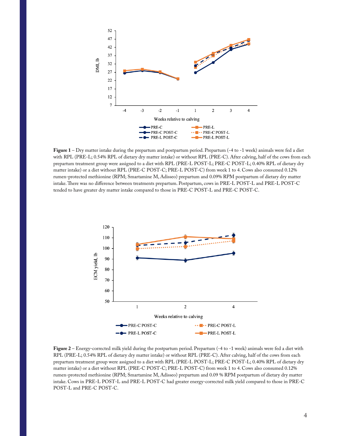

**Figure 1** – Dry matter intake during the prepartum and postpartum period. Prepartum (-4 to -1 week) animals were fed a diet with RPL (PRE-L; 0.54% RPL of dietary dry matter intake) or without RPL (PRE-C). After calving, half of the cows from each prepartum treatment group were assigned to a diet with RPL (PRE-L POST-L; PRE-C POST-L; 0.40% RPL of dietary dry matter intake) or a diet without RPL (PRE-C POST-C; PRE-L POST-C) from week 1 to 4. Cows also consumed 0.12% rumen-protected methionine (RPM; Smartamine M, Adisseo) prepartum and 0.09% RPM postpartum of dietary dry matter intake.There was no difference between treatments prepartum. Postpartum, cows in PRE-L POST-L and PRE-L POST-C tended to have greater dry matter intake compared to those in PRE-C POST-L and PRE-C POST-C.



**Figure 2** – Energy-corrected milk yield during the postpartum period. Prepartum (-4 to -1 week) animals were fed a diet with RPL (PRE-L; 0.54% RPL of dietary dry matter intake) or without RPL (PRE-C). After calving, half of the cows from each prepartum treatment group were assigned to a diet with RPL (PRE-L POST-L; PRE-C POST-L; 0.40% RPL of dietary dry matter intake) or a diet without RPL (PRE-C POST-C; PRE-L POST-C) from week 1 to 4. Cows also consumed 0.12% rumen-protected methionine (RPM; Smartamine M, Adisseo) prepartum and 0.09 % RPM postpartum of dietary dry matter intake. Cows in PRE-L POST-L and PRE-L POST-C had greater energy-corrected milk yield compared to those in PRE-C POST-L and PRE-C POST-C.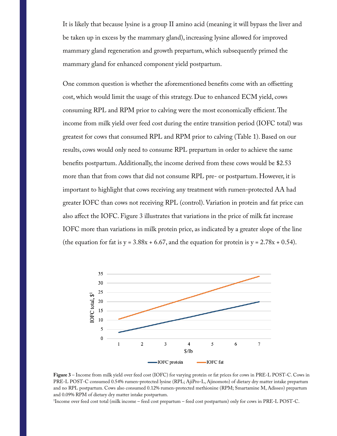It is likely that because lysine is a group II amino acid (meaning it will bypass the liver and be taken up in excess by the mammary gland), increasing lysine allowed for improved mammary gland regeneration and growth prepartum, which subsequently primed the mammary gland for enhanced component yield postpartum.

One common question is whether the aforementioned benefits come with an offsetting cost, which would limit the usage of this strategy. Due to enhanced ECM yield, cows consuming RPL and RPM prior to calving were the most economically efficient.The income from milk yield over feed cost during the entire transition period (IOFC total) was greatest for cows that consumed RPL and RPM prior to calving (Table 1). Based on our results, cows would only need to consume RPL prepartum in order to achieve the same benefits postpartum. Additionally, the income derived from these cows would be \$2.53 more than that from cows that did not consume RPL pre- or postpartum. However, it is important to highlight that cows receiving any treatment with rumen-protected AA had greater IOFC than cows not receiving RPL (control). Variation in protein and fat price can also affect the IOFC. Figure 3 illustrates that variations in the price of milk fat increase IOFC more than variations in milk protein price, as indicated by a greater slope of the line (the equation for fat is  $y = 3.88x + 6.67$ , and the equation for protein is  $y = 2.78x + 0.54$ ).



**Figure 3** – Income from milk yield over feed cost (IOFC) for varying protein or fat prices for cows in PRE-L POST-C. Cows in PRE-L POST-C consumed 0.54% rumen-protected lysine (RPL; AjiPro-L, Ajinomoto) of dietary dry matter intake prepartum and no RPL postpartum. Cows also consumed 0.12% rumen-protected methionine (RPM; Smartamine M, Adisseo) prepartum and 0.09% RPM of dietary dry matter intake postpartum.

1 Income over feed cost total (milk income – feed cost prepartum – feed cost postpartum) only for cows in PRE-L POST-C.